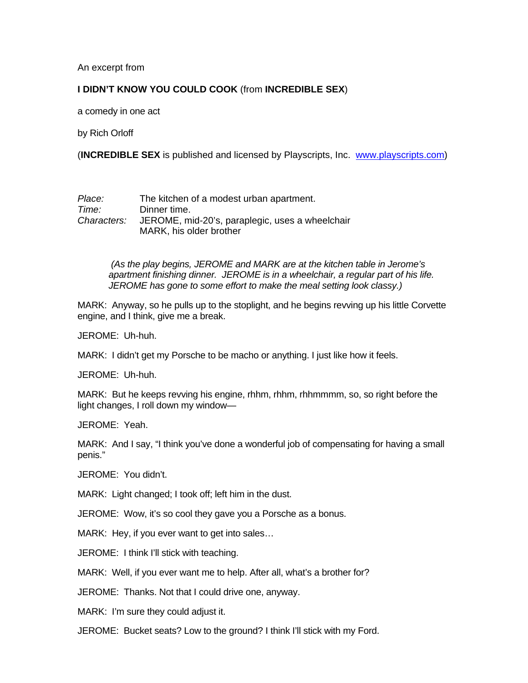An excerpt from

## **I DIDN'T KNOW YOU COULD COOK** (from **INCREDIBLE SEX**)

a comedy in one act

by Rich Orloff

(**INCREDIBLE SEX** is published and licensed by Playscripts, Inc. [www.playscripts.com](http://www.playscripts.com/))

*Place:* The kitchen of a modest urban apartment. *Time:* Dinner time. *Characters:* JEROME, mid-20's, paraplegic, uses a wheelchair MARK, his older brother

> *(As the play begins, JEROME and MARK are at the kitchen table in Jerome's apartment finishing dinner. JEROME is in a wheelchair, a regular part of his life. JEROME has gone to some effort to make the meal setting look classy.)*

MARK: Anyway, so he pulls up to the stoplight, and he begins revving up his little Corvette engine, and I think, give me a break.

JEROME: Uh-huh.

MARK: I didn't get my Porsche to be macho or anything. I just like how it feels.

JEROME: Uh-huh.

MARK: But he keeps revving his engine, rhhm, rhhm, rhhmmmm, so, so right before the light changes, I roll down my window—

JEROME: Yeah.

MARK: And I say, "I think you've done a wonderful job of compensating for having a small penis."

JEROME: You didn't.

MARK: Light changed; I took off; left him in the dust.

JEROME: Wow, it's so cool they gave you a Porsche as a bonus.

MARK: Hey, if you ever want to get into sales…

JEROME: I think I'll stick with teaching.

MARK: Well, if you ever want me to help. After all, what's a brother for?

JEROME: Thanks. Not that I could drive one, anyway.

MARK: I'm sure they could adjust it.

JEROME: Bucket seats? Low to the ground? I think I'll stick with my Ford.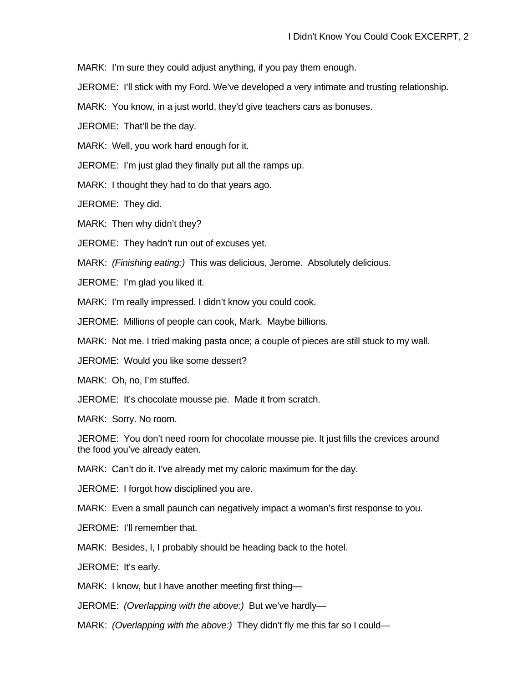MARK: I'm sure they could adjust anything, if you pay them enough.

JEROME: I'll stick with my Ford. We've developed a very intimate and trusting relationship.

MARK: You know, in a just world, they'd give teachers cars as bonuses.

JEROME: That'll be the day.

MARK: Well, you work hard enough for it.

JEROME: I'm just glad they finally put all the ramps up.

MARK: I thought they had to do that years ago.

JEROME: They did.

MARK: Then why didn't they?

JEROME: They hadn't run out of excuses yet.

MARK: *(Finishing eating:)* This was delicious, Jerome. Absolutely delicious.

JEROME: I'm glad you liked it.

MARK: I'm really impressed. I didn't know you could cook.

JEROME: Millions of people can cook, Mark. Maybe billions.

MARK: Not me. I tried making pasta once; a couple of pieces are still stuck to my wall.

JEROME: Would you like some dessert?

MARK: Oh, no, I'm stuffed.

JEROME: It's chocolate mousse pie. Made it from scratch.

MARK: Sorry. No room.

JEROME: You don't need room for chocolate mousse pie. It just fills the crevices around the food you've already eaten.

MARK: Can't do it. I've already met my caloric maximum for the day.

JEROME: I forgot how disciplined you are.

MARK: Even a small paunch can negatively impact a woman's first response to you.

JEROME: I'll remember that.

MARK: Besides, I, I probably should be heading back to the hotel.

JEROME: It's early.

MARK: I know, but I have another meeting first thing—

JEROME: *(Overlapping with the above:)* But we've hardly—

MARK: *(Overlapping with the above:)* They didn't fly me this far so I could—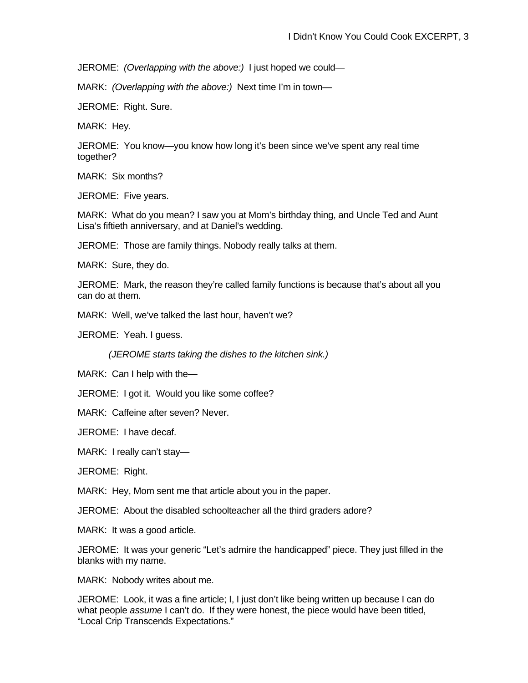JEROME: *(Overlapping with the above:)* I just hoped we could—

MARK: *(Overlapping with the above:)* Next time I'm in town—

JEROME: Right. Sure.

MARK: Hey.

JEROME: You know—you know how long it's been since we've spent any real time together?

MARK: Six months?

JEROME: Five years.

MARK: What do you mean? I saw you at Mom's birthday thing, and Uncle Ted and Aunt Lisa's fiftieth anniversary, and at Daniel's wedding.

JEROME: Those are family things. Nobody really talks at them.

MARK: Sure, they do.

JEROME: Mark, the reason they're called family functions is because that's about all you can do at them.

MARK: Well, we've talked the last hour, haven't we?

JEROME: Yeah. I guess.

*(JEROME starts taking the dishes to the kitchen sink.)* 

MARK: Can I help with the—

JEROME: I got it. Would you like some coffee?

MARK: Caffeine after seven? Never.

JEROME: I have decaf.

MARK: I really can't stay—

JEROME: Right.

MARK: Hey, Mom sent me that article about you in the paper.

JEROME: About the disabled schoolteacher all the third graders adore?

MARK: It was a good article.

JEROME: It was your generic "Let's admire the handicapped" piece. They just filled in the blanks with my name.

MARK: Nobody writes about me.

JEROME: Look, it was a fine article; I, I just don't like being written up because I can do what people *assume* I can't do. If they were honest, the piece would have been titled, "Local Crip Transcends Expectations."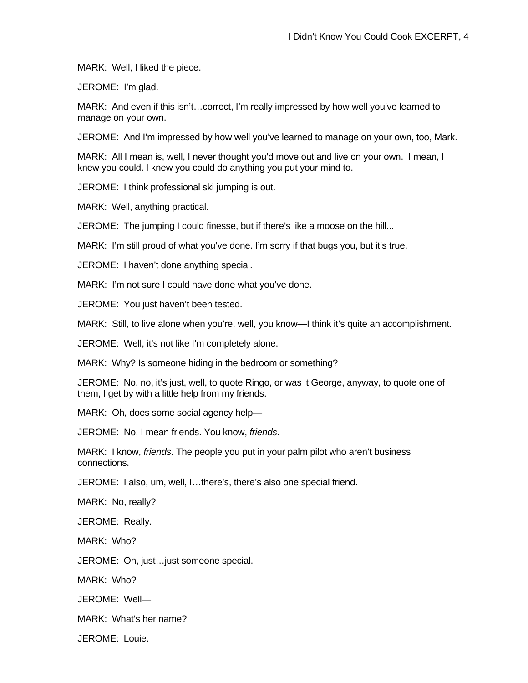MARK: Well, I liked the piece.

JEROME: I'm glad.

MARK: And even if this isn't…correct, I'm really impressed by how well you've learned to manage on your own.

JEROME: And I'm impressed by how well you've learned to manage on your own, too, Mark.

MARK: All I mean is, well, I never thought you'd move out and live on your own. I mean, I knew you could. I knew you could do anything you put your mind to.

JEROME: I think professional ski jumping is out.

MARK: Well, anything practical.

JEROME: The jumping I could finesse, but if there's like a moose on the hill...

MARK: I'm still proud of what you've done. I'm sorry if that bugs you, but it's true.

JEROME: I haven't done anything special.

MARK: I'm not sure I could have done what you've done.

JEROME: You just haven't been tested.

MARK: Still, to live alone when you're, well, you know—I think it's quite an accomplishment.

JEROME: Well, it's not like I'm completely alone.

MARK: Why? Is someone hiding in the bedroom or something?

JEROME: No, no, it's just, well, to quote Ringo, or was it George, anyway, to quote one of them, I get by with a little help from my friends.

MARK: Oh, does some social agency help—

JEROME: No, I mean friends. You know, *friends*.

MARK: I know, *friends*. The people you put in your palm pilot who aren't business connections.

JEROME: I also, um, well, I…there's, there's also one special friend.

MARK: No, really?

JEROME: Really.

MARK: Who?

JEROME: Oh, just…just someone special.

MARK: Who?

JEROME: Well—

MARK: What's her name?

JEROME: Louie.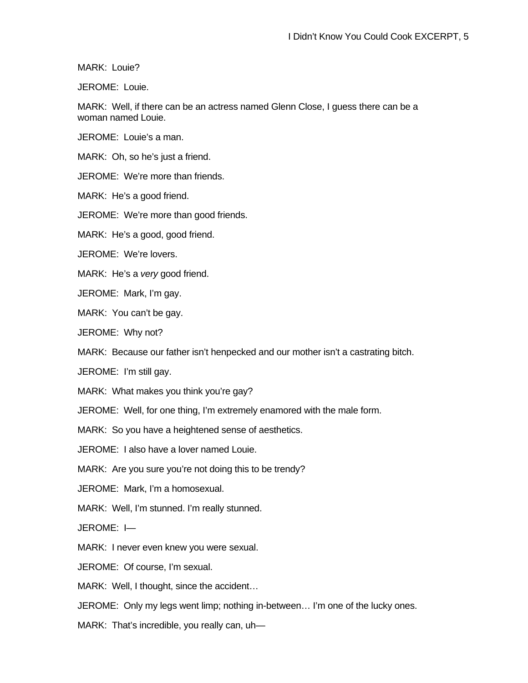MARK: Louie?

JEROME: Louie.

MARK: Well, if there can be an actress named Glenn Close, I guess there can be a woman named Louie.

JEROME: Louie's a man.

MARK: Oh, so he's just a friend.

JEROME: We're more than friends.

MARK: He's a good friend.

JEROME: We're more than good friends.

MARK: He's a good, good friend.

JEROME: We're lovers.

MARK: He's a *very* good friend.

JEROME: Mark, I'm gay.

MARK: You can't be gay.

JEROME: Why not?

MARK: Because our father isn't henpecked and our mother isn't a castrating bitch.

JEROME: I'm still gay.

MARK: What makes you think you're gay?

JEROME: Well, for one thing, I'm extremely enamored with the male form.

MARK: So you have a heightened sense of aesthetics.

JEROME: I also have a lover named Louie.

MARK: Are you sure you're not doing this to be trendy?

JEROME: Mark, I'm a homosexual.

MARK: Well, I'm stunned. I'm really stunned.

JEROME: I—

MARK: I never even knew you were sexual.

JEROME: Of course, I'm sexual.

MARK: Well, I thought, since the accident…

JEROME: Only my legs went limp; nothing in-between… I'm one of the lucky ones.

MARK: That's incredible, you really can, uh—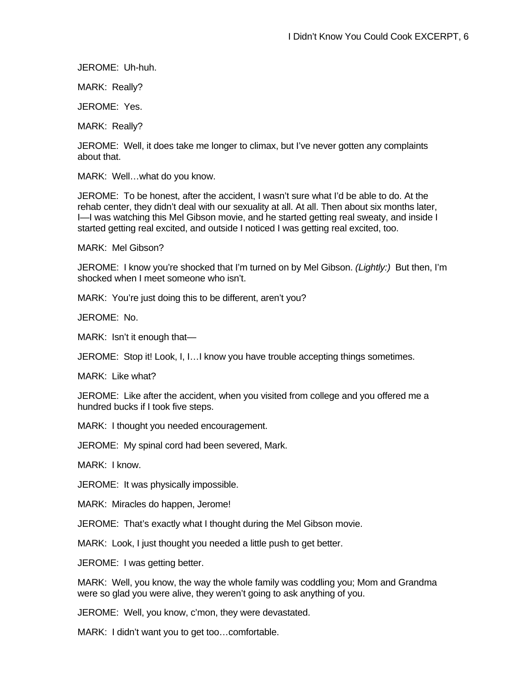JEROME: Uh-huh.

MARK: Really?

JEROME: Yes.

MARK: Really?

JEROME: Well, it does take me longer to climax, but I've never gotten any complaints about that.

MARK: Well…what do you know.

JEROME: To be honest, after the accident, I wasn't sure what I'd be able to do. At the rehab center, they didn't deal with our sexuality at all. At all. Then about six months later, I—I was watching this Mel Gibson movie, and he started getting real sweaty, and inside I started getting real excited, and outside I noticed I was getting real excited, too.

MARK: Mel Gibson?

JEROME: I know you're shocked that I'm turned on by Mel Gibson. *(Lightly:)* But then, I'm shocked when I meet someone who isn't.

MARK: You're just doing this to be different, aren't you?

JEROME: No.

MARK: Isn't it enough that—

JEROME: Stop it! Look, I, I…I know you have trouble accepting things sometimes.

MARK: Like what?

JEROME: Like after the accident, when you visited from college and you offered me a hundred bucks if I took five steps.

MARK: I thought you needed encouragement.

JEROME: My spinal cord had been severed, Mark.

MARK: I know.

JEROME: It was physically impossible.

MARK: Miracles do happen, Jerome!

JEROME: That's exactly what I thought during the Mel Gibson movie.

MARK: Look, I just thought you needed a little push to get better.

JEROME: I was getting better.

MARK: Well, you know, the way the whole family was coddling you; Mom and Grandma were so glad you were alive, they weren't going to ask anything of you.

JEROME: Well, you know, c'mon, they were devastated.

MARK: I didn't want you to get too…comfortable.